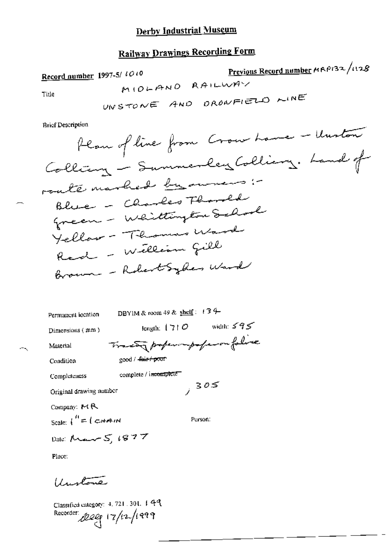# **Railway Drawings Recording Form**

Previous Record number MAP132/1128 Record number 1997-5/ to to MIOLAND RAILWAY Title UNSTONE AND DRONFIELD WINE

**Brief Description** 

 $\overline{\mathcal{C}}$ 

 $=$   $-$ 

| Permanent location                            | DBYIM & room 49 & shelf: $(34-$     |  |  |  |  |
|-----------------------------------------------|-------------------------------------|--|--|--|--|
| Dimensions (mm)                               | width: $595$<br>length: $ 7 $ O     |  |  |  |  |
| Material                                      | Tractor properompoferon folice      |  |  |  |  |
| Condition                                     | good / <del>fair/ poor</del>        |  |  |  |  |
| Completeness                                  | complete / i <del>ncomplete =</del> |  |  |  |  |
| 7305<br>Original drawing number               |                                     |  |  |  |  |
| Company: $M R$                                |                                     |  |  |  |  |
| Scale: $\int_0^H = \int_C \mathcal{L} H H dM$ | Person:                             |  |  |  |  |
| Date: $M_{\text{max}}$ $S$ , $1877$           |                                     |  |  |  |  |
| Place:                                        |                                     |  |  |  |  |
| Ludone                                        |                                     |  |  |  |  |

Classified category: 4, 721, 301, 4 49 Recorder 2009 17/12/1999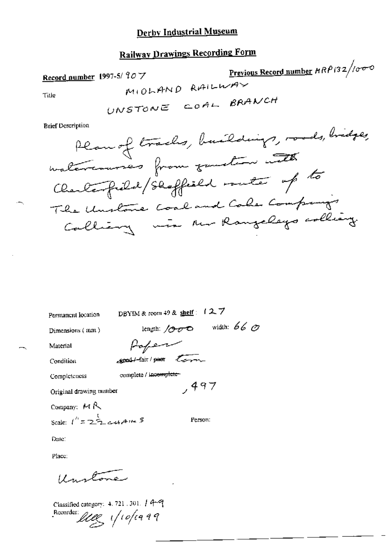## **Railway Drawings Recording Form**

Previous Record number  $\frac{R P}{32}/\sigma \sigma$ Record number 1997-5/907 MIOLAND RAILWAY Title UNSTONE COAL BRANCH

**Brief Description** 

Permanent location

DBYIM & room 49 & shelf: 127

Dimensions  $($  mm $)$ 

length:  $1000$  width:  $660$ Poper

**good**/-fair/peer term

Condition

Material

Completeness

complete / incomplete  $,497$ 

Original drawing number

Company:  $M R$ Scale:  $1^{n} = 222$  cut A 1<sup>12</sup> 5

Person:

Date:

Place:

Unitone

Classified category: 4, 721 , 301.  $/$  4-9 Recorder lives 1/10/1999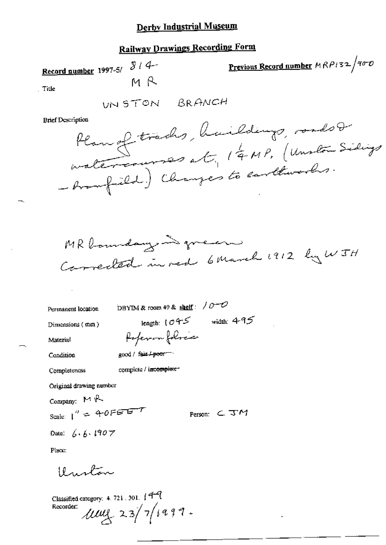### **Railway Drawings Recording Form**

<u>Previous Record number</u>  $MRPI32/800$ Record number 1997-5/ $\sqrt[3]{14}$ мR Title UNSTON BRANCH **Brief Description** O triades huildings roads  $\Omega_{\mathcal{A}}$ 



Permanent location

DBYIM & room 49 & shelf:  $/0$ -O

Poperon folices

Dimensions (mm)

Material Condition

good / fair / poor

Completeness

complete / incomplete-

Original drawing number

Company:  $M \rightarrow$ 

Scale:  $1'' = 40FETFT$ 

Date:  $6.6.1907$ 

Place:

Uniton

Classified category: 4, 721, 301, [44]  $\text{max}_{23}/\frac{1}{4}$ 1999. Recorder:

length:  $1045$  width:  $495$ 

Person:  $\subset$   $\mathcal{TM}$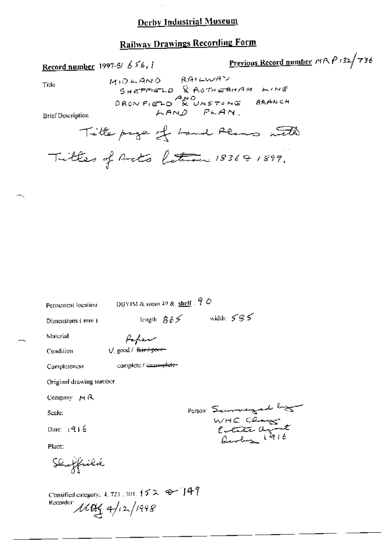## Railway Drawings Recording Form

Record number 1997-5/  $656$ , I Previous Record number  $m \wedge P$  '32/ $\pi$ 36

Title; MIDLAND RAILWAY SHEFFELD & ADTHERHAM LINE  $D$ ROMFIELD  $\overline{A_{N}O}$ <br>DROMFIELD & UNSTEME BRANCH DRONFIELD & UNSTENCE<br>Brief Description ;<br>Brief Description ;

Title page of Land Plans with Titles of Acts between  $183601899$ ,

| Permanent location                                              |                        | DBYIM & 10010 49 & shelf $\sqrt{7}$ O |                  |  |
|-----------------------------------------------------------------|------------------------|---------------------------------------|------------------|--|
| Dimensions (mm)                                                 |                        | length $865$                          | width: $595$     |  |
| Material                                                        | ممعداتهم               |                                       |                  |  |
| Condition                                                       | V. good / fair+poor    |                                       |                  |  |
| Completeness                                                    | complete / incamplete- |                                       |                  |  |
| Original drawing number                                         |                        |                                       |                  |  |
| Company AR                                                      |                        |                                       |                  |  |
| Scale:                                                          |                        |                                       | Person Secondary |  |
| Date: $1916$                                                    |                        |                                       | WHO Cease        |  |
| Place:                                                          |                        |                                       |                  |  |
| Sluffiélik                                                      |                        |                                       |                  |  |
| Classified category: 4, 721, 303, $\{5, 2, 3, 4\}$<br>Recorder: | $1104$ 4/12/1998       |                                       |                  |  |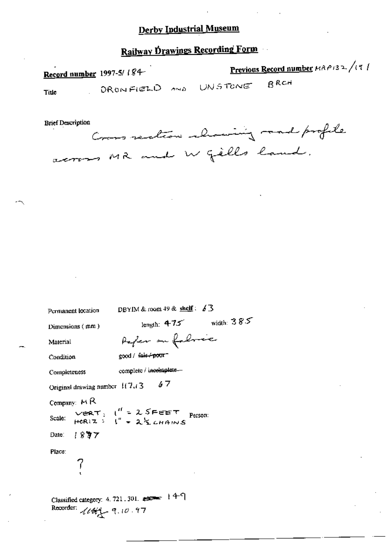# Railway Drawings Recording Form

| Record number 1997-5/184<br>DRONFIELD AND UNSTONE<br>Title | <b>Previous Record number</b> $\mu$ <i>RP</i> i32/(2)<br>$B$ <sub>RCH</sub> |
|------------------------------------------------------------|-----------------------------------------------------------------------------|
| <b>Brief Description</b>                                   | Cross section showing raad profile                                          |
| across MR and W gills land.                                | the control of the control of                                               |
| the control of the control of the                          |                                                                             |
|                                                            |                                                                             |
|                                                            |                                                                             |

DBYIM & room 49 & shelf:  $\angle$  3 Permanent location length:  $4.75$  width:  $385$ Dimensions (mm) Paper on followice Material good / fair/poor Condition complete / incomplete. Completeness  $67$ Original drawing number 117.13 Company: MR VERT:  $1'' = 25$ FEET Person:<br>HCRIZ:  $1'' = 25$ CHAINS Scale:  $1887$ Date: Place: 7 Classified category: 4, 721, 301, 222 | 49 Recorder:  $10.97$